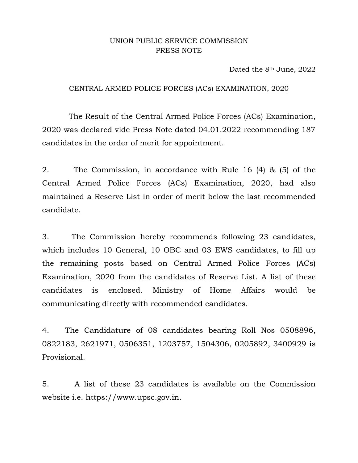## UNION PUBLIC SERVICE COMMISSION PRESS NOTE

Dated the 8<sup>th</sup> June, 2022

## CENTRAL ARMED POLICE FORCES (ACs) EXAMINATION, 2020

 The Result of the Central Armed Police Forces (ACs) Examination, 2020 was declared vide Press Note dated 04.01.2022 recommending 187 candidates in the order of merit for appointment.

2. The Commission, in accordance with Rule 16 (4) & (5) of the Central Armed Police Forces (ACs) Examination, 2020, had also maintained a Reserve List in order of merit below the last recommended candidate.

3. The Commission hereby recommends following 23 candidates, which includes 10 General, 10 OBC and 03 EWS candidates, to fill up the remaining posts based on Central Armed Police Forces (ACs) Examination, 2020 from the candidates of Reserve List. A list of these candidates is enclosed. Ministry of Home Affairs would be communicating directly with recommended candidates.

4. The Candidature of 08 candidates bearing Roll Nos 0508896, 0822183, 2621971, 0506351, 1203757, 1504306, 0205892, 3400929 is Provisional.

5. A list of these 23 candidates is available on the Commission website i.e. https://www.upsc.gov.in.